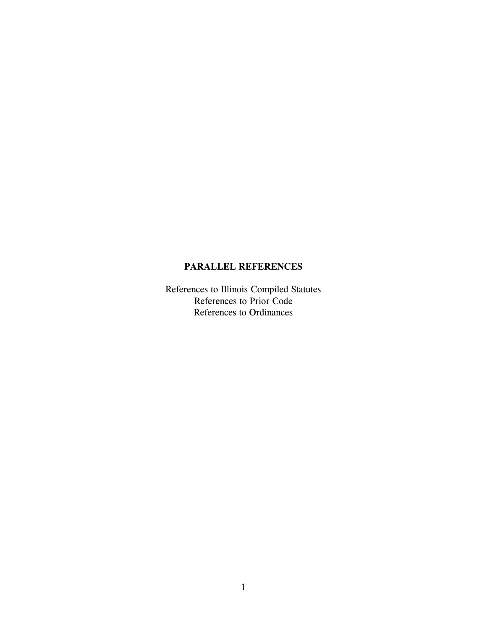### **PARALLEL REFERENCES**

References to Illinois Compiled Statutes References to Prior Code References to Ordinances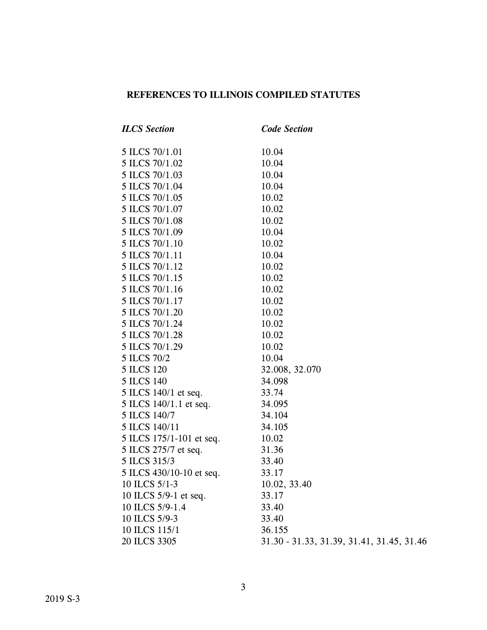## **REFERENCES TO ILLINOIS COMPILED STATUTES**

| <b>ILCS</b> Section      | <b>Code Section</b>                       |
|--------------------------|-------------------------------------------|
| 5 ILCS 70/1.01           | 10.04                                     |
| 5 ILCS 70/1.02           | 10.04                                     |
| 5 ILCS 70/1.03           | 10.04                                     |
| 5 ILCS 70/1.04           | 10.04                                     |
| 5 ILCS 70/1.05           | 10.02                                     |
| 5 ILCS 70/1.07           | 10.02                                     |
| 5 ILCS 70/1.08           | 10.02                                     |
| 5 ILCS 70/1.09           | 10.04                                     |
| 5 ILCS 70/1.10           | 10.02                                     |
| 5 ILCS 70/1.11           | 10.04                                     |
| 5 ILCS 70/1.12           | 10.02                                     |
| 5 ILCS 70/1.15           | 10.02                                     |
| 5 ILCS 70/1.16           | 10.02                                     |
| 5 ILCS 70/1.17           | 10.02                                     |
| 5 ILCS 70/1.20           | 10.02                                     |
| 5 ILCS 70/1.24           | 10.02                                     |
| 5 ILCS 70/1.28           | 10.02                                     |
| 5 ILCS 70/1.29           | 10.02                                     |
| 5 ILCS 70/2              | 10.04                                     |
| 5 ILCS 120               | 32.008, 32.070                            |
| <b>5 ILCS 140</b>        | 34.098                                    |
| 5 ILCS 140/1 et seq.     | 33.74                                     |
| 5 ILCS 140/1.1 et seq.   | 34.095                                    |
| 5 ILCS 140/7             | 34.104                                    |
| 5 ILCS 140/11            | 34.105                                    |
| 5 ILCS 175/1-101 et seq. | 10.02                                     |
| 5 ILCS 275/7 et seq.     | 31.36                                     |
| 5 ILCS 315/3             | 33.40                                     |
| 5 ILCS 430/10-10 et seq. | 33.17                                     |
| 10 ILCS 5/1-3            | 10.02, 33.40                              |
| 10 ILCS 5/9-1 et seq.    | 33.17                                     |
| 10 ILCS 5/9-1.4          | 33.40                                     |
| 10 ILCS 5/9-3            | 33.40                                     |
| 10 ILCS 115/1            | 36.155                                    |
| 20 ILCS 3305             | 31.30 - 31.33, 31.39, 31.41, 31.45, 31.46 |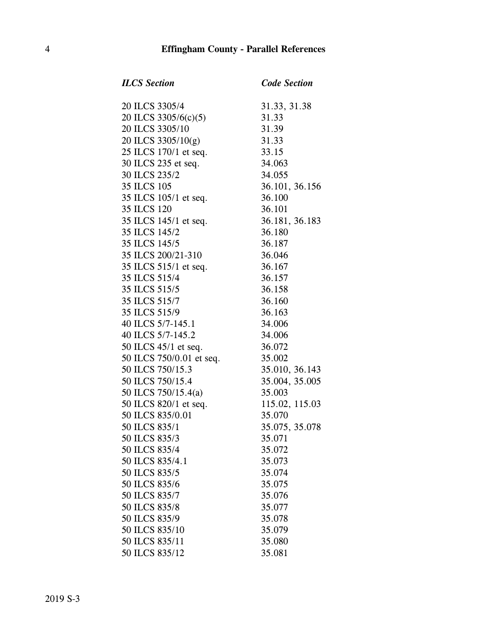*ILCS Section Code Section*

| 20 ILCS 3305/4                                                                                                                                                                                                                                          | 31.33,<br>31.33<br>31.39<br>31.33<br>33.15<br>33.15<br>34.063<br>34.055<br>36.101<br>36.100<br>36.101 |
|---------------------------------------------------------------------------------------------------------------------------------------------------------------------------------------------------------------------------------------------------------|-------------------------------------------------------------------------------------------------------|
| 20 ILCS 3305/6(c)(5)                                                                                                                                                                                                                                    |                                                                                                       |
| 20 ILCS 3305/10                                                                                                                                                                                                                                         |                                                                                                       |
| 20 ILCS 3305/10(g)                                                                                                                                                                                                                                      |                                                                                                       |
| 25 ILCS 170/1 et seq.                                                                                                                                                                                                                                   |                                                                                                       |
| 30 ILCS 235 et seq.                                                                                                                                                                                                                                     |                                                                                                       |
| 30 ILCS 235/2                                                                                                                                                                                                                                           |                                                                                                       |
| 35 ILCS 105                                                                                                                                                                                                                                             |                                                                                                       |
| 35 ILCS 105/1 et seq.                                                                                                                                                                                                                                   |                                                                                                       |
| 35 ILCS 120                                                                                                                                                                                                                                             |                                                                                                       |
|                                                                                                                                                                                                                                                         |                                                                                                       |
| 35 ILCS 105/1 et seq.<br>36 ILCS 120<br>36 ILCS 120<br>36 ILCS 145/1 et seq.<br>36 ILCS 145/2<br>36 ILCS 145/2<br>36 ILCS 145/2<br>36 ILCS 145/5<br>36 ILCS 187<br>36 ILCS 515/1 et seq.<br>36 ICS 515/1 et seq.<br>36 ICS 515/4<br>36 ILCS 515/4<br>36 |                                                                                                       |
|                                                                                                                                                                                                                                                         |                                                                                                       |
|                                                                                                                                                                                                                                                         |                                                                                                       |
|                                                                                                                                                                                                                                                         |                                                                                                       |
|                                                                                                                                                                                                                                                         |                                                                                                       |
|                                                                                                                                                                                                                                                         |                                                                                                       |
|                                                                                                                                                                                                                                                         |                                                                                                       |
|                                                                                                                                                                                                                                                         |                                                                                                       |
|                                                                                                                                                                                                                                                         |                                                                                                       |
|                                                                                                                                                                                                                                                         |                                                                                                       |
|                                                                                                                                                                                                                                                         |                                                                                                       |
|                                                                                                                                                                                                                                                         |                                                                                                       |
|                                                                                                                                                                                                                                                         |                                                                                                       |
|                                                                                                                                                                                                                                                         |                                                                                                       |
|                                                                                                                                                                                                                                                         |                                                                                                       |
|                                                                                                                                                                                                                                                         |                                                                                                       |
|                                                                                                                                                                                                                                                         |                                                                                                       |
|                                                                                                                                                                                                                                                         |                                                                                                       |
|                                                                                                                                                                                                                                                         |                                                                                                       |
| 50 ILCS 835/4                                                                                                                                                                                                                                           | 35.072                                                                                                |
| 50 ILCS 835/4.1                                                                                                                                                                                                                                         | 35.073                                                                                                |
| 50 ILCS 835/5                                                                                                                                                                                                                                           | 35.074                                                                                                |
| 50 ILCS 835/6                                                                                                                                                                                                                                           | 35.075                                                                                                |
| 50 ILCS 835/7                                                                                                                                                                                                                                           | 35.076                                                                                                |
| 50 ILCS 835/8                                                                                                                                                                                                                                           | 35.077                                                                                                |
| 50 ILCS 835/9                                                                                                                                                                                                                                           | 35.078                                                                                                |
| 50 ILCS 835/10                                                                                                                                                                                                                                          | 35.079                                                                                                |
| 50 ILCS 835/11                                                                                                                                                                                                                                          | 35.080                                                                                                |
| 50 ILCS 835/12                                                                                                                                                                                                                                          | 35.081                                                                                                |

.33, 31.38<br>.33 101, 36.156 181, 36.183 50 ILCS 750/15.3 35.010, 36.143 .004, 35.005.<br>003 5.02, 115.03 50 ILCS 835/1 35.075, 35.078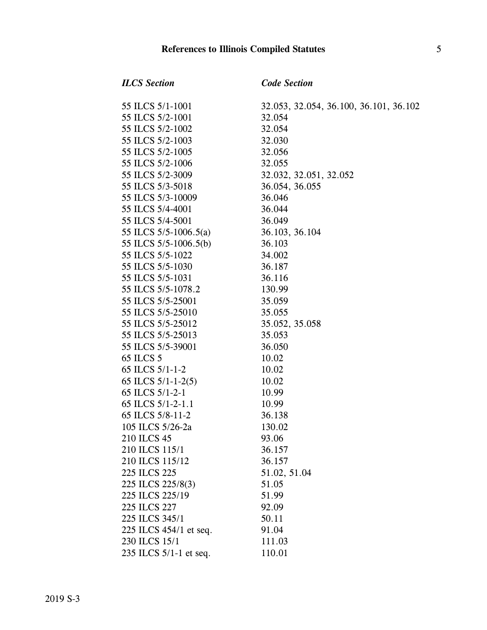#### **References to Illinois Compiled Statutes** 5

#### *ILCS Section Code Section*

55 ILCS 5/2-1001 32.054 55 ILCS 5/2-1002 32.054 55 ILCS 5/2-1003 32.030 55 ILCS 5/2-1005 32.056 55 ILCS 5/2-1006 32.055 55 ILCS 5/2-3009 32.032, 32.051, 32.052 55 ILCS 5/3-5018 36.054, 36.055 55 ILCS 5/3-10009 36.046 55 ILCS 5/4-4001 36.044 55 ILCS 5/4-5001 36.049 55 ILCS 5/5-1006.5(a) 36.103, 36.104 55 ILCS 5/5-1006.5(b) 36.103 55 ILCS 5/5-1022 34.002 55 ILCS 5/5-1030 36.187 55 ILCS 5/5-1031 36.116 55 ILCS 5/5-1078.2 130.99 55 ILCS 5/5-25001 35.059 55 ILCS 5/5-25010 35.055 55 ILCS 5/5-25012 35.052, 35.058 55 ILCS 5/5-25013 35.053 55 ILCS 5/5-39001 36.050 65 ILCS 5 10.02 65 ILCS 5/1-1-2 10.02 65 ILCS 5/1-1-2(5) 10.02 65 ILCS 5/1-2-1 10.99 65 ILCS 5/1-2-1.1 10.99 65 ILCS 5/8-11-2 36.138 105 ILCS 5/26-2a 130.02 210 ILCS 45 93.06 210 ILCS 115/1 36.157 210 ILCS 115/12 36.157 225 ILCS 225 51.02, 51.04 225 ILCS 225/8(3) 51.05 225 ILCS 225/19 51.99 225 ILCS 227 92.09 225 ILCS 345/1 50.11 225 ILCS 454/1 et seq. 91.04 230 ILCS 15/1 111.03 235 ILCS 5/1-1 et seq. 110.01

55 ILCS 5/1-1001 32.053, 32.054, 36.100, 36.101, 36.102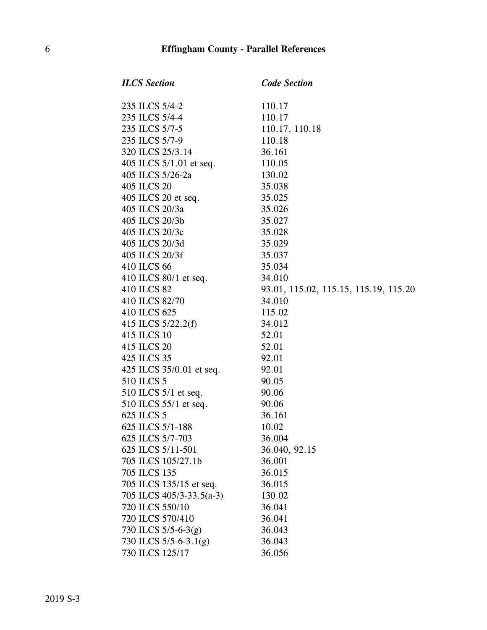| <b>ILCS</b> Section       | <b>Code Section</b>                   |
|---------------------------|---------------------------------------|
| 235 ILCS 5/4-2            | 110.17                                |
| 235 ILCS 5/4-4            | 110.17                                |
| 235 ILCS 5/7-5            | 110.17, 110.18                        |
| 235 ILCS 5/7-9            | 110.18                                |
| 320 ILCS 25/3.14          | 36.161                                |
| 405 ILCS $5/1.01$ et seq. | 110.05                                |
| 405 ILCS 5/26-2a          | 130.02                                |
| 405 ILCS 20               | 35.038                                |
| 405 ILCS 20 et seq.       | 35.025                                |
| 405 ILCS 20/3a            | 35.026                                |
| 405 ILCS 20/3b            | 35.027                                |
| 405 ILCS 20/3c            | 35.028                                |
| 405 ILCS 20/3d            | 35.029                                |
| 405 ILCS 20/3f            | 35.037                                |
| 410 ILCS 66               | 35.034                                |
| 410 ILCS 80/1 et seq.     | 34.010                                |
| 410 ILCS 82               | 93.01, 115.02, 115.15, 115.19, 115.20 |
| 410 ILCS 82/70            | 34.010                                |
| 410 ILCS 625              | 115.02                                |
| 415 ILCS 5/22.2(f)        | 34.012                                |
| 415 ILCS 10               | 52.01                                 |
| 415 ILCS 20               | 52.01                                 |
| 425 ILCS 35               | 92.01                                 |
| 425 ILCS 35/0.01 et seq.  | 92.01                                 |
| 510 ILCS 5                | 90.05                                 |
| 510 ILCS $5/1$ et seq.    | 90.06                                 |
| 510 ILCS 55/1 et seq.     | 90.06                                 |
| 625 ILCS 5                | 36.161                                |
| 625 ILCS 5/1-188          | 10.02                                 |
| 625 ILCS 5/7-703          | 36.004                                |
| 625 ILCS 5/11-501         | 36.040, 92.15                         |
| 705 ILCS 105/27.1b        | 36.001                                |
| 705 ILCS 135              | 36.015                                |
| 705 ILCS 135/15 et seq.   | 36.015                                |
| 705 ILCS 405/3-33.5(a-3)  | 130.02                                |
| 720 ILCS 550/10           | 36.041                                |
| 720 ILCS 570/410          | 36.041                                |
| 730 ILCS 5/5-6-3(g)       | 36.043                                |
| 730 ILCS 5/5-6-3.1(g)     | 36.043                                |
| 730 ILCS 125/17           | 36.056                                |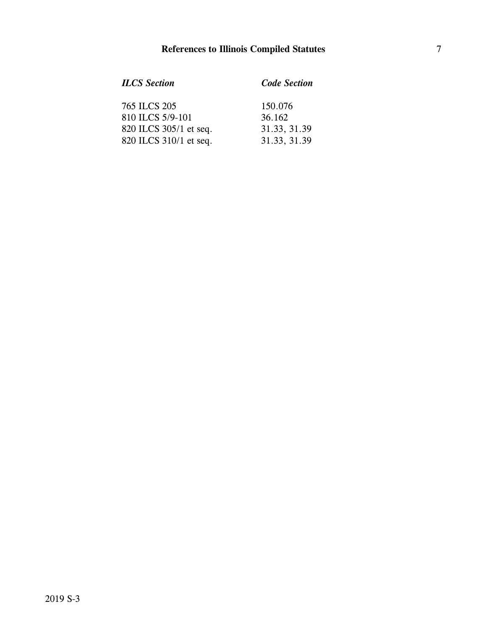| <b>ILCS</b> Section    | <b>Code Section</b> |
|------------------------|---------------------|
| 765 ILCS 205           | 150.076             |
| 810 ILCS 5/9-101       | 36.162              |
| 820 ILCS 305/1 et seq. | 31.33, 31.39        |
| 820 ILCS 310/1 et seq. | 31.33, 31.39        |
|                        |                     |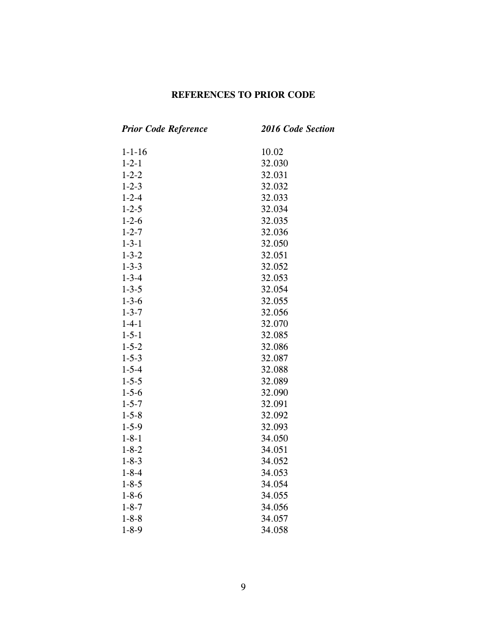### **REFERENCES TO PRIOR CODE**

| <b>Prior Code Reference</b> | 2016 Code Section |
|-----------------------------|-------------------|
| $1 - 1 - 16$                | 10.02             |
| $1 - 2 - 1$                 | 32.030            |
| $1 - 2 - 2$                 | 32.031            |
| $1 - 2 - 3$                 | 32.032            |
| $1 - 2 - 4$                 | 32.033            |
| $1 - 2 - 5$                 | 32.034            |
| $1 - 2 - 6$                 | 32.035            |
| $1 - 2 - 7$                 | 32.036            |
| $1 - 3 - 1$                 | 32.050            |
| $1 - 3 - 2$                 | 32.051            |
| $1 - 3 - 3$                 | 32.052            |
| $1 - 3 - 4$                 | 32.053            |
| $1 - 3 - 5$                 | 32.054            |
| $1 - 3 - 6$                 | 32.055            |
| $1 - 3 - 7$                 | 32.056            |
| $1 - 4 - 1$                 | 32.070            |
| $1 - 5 - 1$                 | 32.085            |
| $1 - 5 - 2$                 | 32.086            |
| $1 - 5 - 3$                 | 32.087            |
| $1 - 5 - 4$                 | 32.088            |
| $1 - 5 - 5$                 | 32.089            |
| $1 - 5 - 6$                 | 32.090            |
| $1 - 5 - 7$                 | 32.091            |
| $1 - 5 - 8$                 | 32.092            |
| $1 - 5 - 9$                 | 32.093            |
| $1 - 8 - 1$                 | 34.050            |
| $1 - 8 - 2$                 | 34.051            |
| $1 - 8 - 3$                 | 34.052            |
| $1 - 8 - 4$                 | 34.053            |
| $1 - 8 - 5$                 | 34.054            |
| $1 - 8 - 6$                 | 34.055            |
| $1 - 8 - 7$                 | 34.056            |
| $1 - 8 - 8$                 | 34.057            |
| $1 - 8 - 9$                 | 34.058            |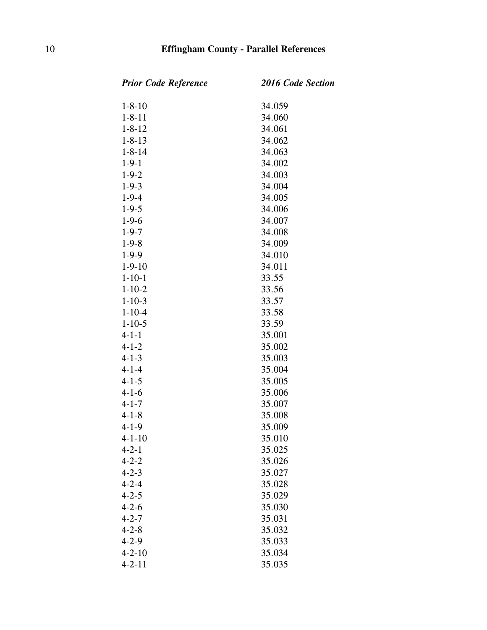| <b>Prior Code Reference</b> | <b>2016 Code Section</b> |
|-----------------------------|--------------------------|
| $1 - 8 - 10$                | 34.059                   |
| $1 - 8 - 11$                | 34.060                   |
| $1 - 8 - 12$                | 34.061                   |
| $1 - 8 - 13$                | 34.062                   |
| $1 - 8 - 14$                | 34.063                   |
| $1 - 9 - 1$                 | 34.002                   |
| $1 - 9 - 2$                 | 34.003                   |
| $1 - 9 - 3$                 | 34.004                   |
| $1 - 9 - 4$                 | 34.005                   |
| $1 - 9 - 5$                 | 34.006                   |
| $1-9-6$                     | 34.007                   |
| $1 - 9 - 7$                 | 34.008                   |
| $1 - 9 - 8$                 | 34.009                   |
| $1-9-9$                     | 34.010                   |
| $1 - 9 - 10$                | 34.011                   |
| $1 - 10 - 1$                | 33.55                    |
| $1 - 10 - 2$                | 33.56                    |
| $1 - 10 - 3$                | 33.57                    |
| $1 - 10 - 4$                | 33.58                    |
| $1 - 10 - 5$                | 33.59                    |
| $4 - 1 - 1$                 | 35.001                   |
| $4 - 1 - 2$                 | 35.002                   |
| $4 - 1 - 3$                 | 35.003                   |
| $4 - 1 - 4$                 | 35.004                   |
| $4 - 1 - 5$                 | 35.005                   |
| $4 - 1 - 6$                 | 35.006                   |
| $4 - 1 - 7$                 | 35.007                   |
| $4 - 1 - 8$                 | 35.008                   |
| $4 - 1 - 9$                 | 35.009                   |
| $4 - 1 - 10$                | 35.010                   |
| $4 - 2 - 1$                 | 35.025                   |
| $4 - 2 - 2$                 | 35.026                   |
| $4 - 2 - 3$                 | 35.027                   |
| $4 - 2 - 4$                 | 35.028                   |
| $4 - 2 - 5$                 | 35.029                   |
| $4 - 2 - 6$                 | 35.030                   |
| $4 - 2 - 7$                 | 35.031                   |
| $4 - 2 - 8$                 | 35.032                   |
| $4 - 2 - 9$                 | 35.033                   |
| $4 - 2 - 10$                | 35.034                   |
| $4 - 2 - 11$                | 35.035                   |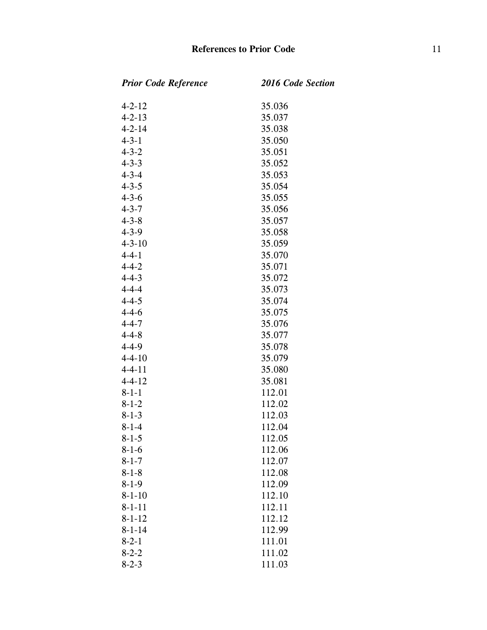| <b>Prior Code Reference</b> | 2016 Code Section |
|-----------------------------|-------------------|
| $4 - 2 - 12$                | 35.036            |
| $4 - 2 - 13$                | 35.037            |
| $4 - 2 - 14$                | 35.038            |
| $4 - 3 - 1$                 | 35.050            |
| $4 - 3 - 2$                 | 35.051            |
| $4 - 3 - 3$                 | 35.052            |
| $4 - 3 - 4$                 | 35.053            |
| $4 - 3 - 5$                 | 35.054            |
| $4 - 3 - 6$                 | 35.055            |
| $4 - 3 - 7$                 | 35.056            |
| $4 - 3 - 8$                 | 35.057            |
| $4 - 3 - 9$                 | 35.058            |
| $4 - 3 - 10$                | 35.059            |
| $4 - 4 - 1$                 | 35.070            |
| $4 - 4 - 2$                 | 35.071            |
| $4 - 4 - 3$                 | 35.072            |
| $4 - 4 - 4$                 | 35.073            |
| $4 - 4 - 5$                 | 35.074            |
| $4 - 4 - 6$                 | 35.075            |
| $4 - 4 - 7$                 | 35.076            |
| $4 - 4 - 8$                 | 35.077            |
| $4 - 4 - 9$                 | 35.078            |
| $4 - 4 - 10$                | 35.079            |
| $4 - 4 - 11$                | 35.080            |
| $4 - 4 - 12$                | 35.081            |
| $8 - 1 - 1$                 | 112.01            |
| $8 - 1 - 2$                 | 112.02            |
| $8 - 1 - 3$                 | 112.03            |
| $8 - 1 - 4$                 | 112.04            |
| $8 - 1 - 5$                 | 112.05            |
| $8 - 1 - 6$                 | 112.06            |
| $8 - 1 - 7$                 | 112.07            |
| $8 - 1 - 8$                 | 112.08            |
| $8 - 1 - 9$                 | 112.09            |
| $8 - 1 - 10$                | 112.10            |
| $8 - 1 - 11$                | 112.11            |
| $8 - 1 - 12$                | 112.12            |
| $8 - 1 - 14$                | 112.99            |
| $8 - 2 - 1$                 | 111.01            |
| $8 - 2 - 2$                 | 111.02            |
| $8 - 2 - 3$                 | 111.03            |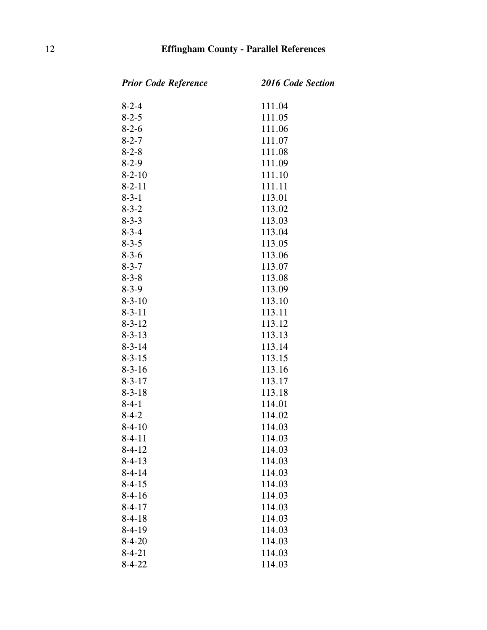| <b>Prior Code Reference</b> | <b>2016 Code Section</b> |
|-----------------------------|--------------------------|
| $8 - 2 - 4$                 | 111.04                   |
| $8 - 2 - 5$                 | 111.05                   |
| $8 - 2 - 6$                 | 111.06                   |
| $8 - 2 - 7$                 | 111.07                   |
| $8 - 2 - 8$                 | 111.08                   |
| $8-2-9$                     | 111.09                   |
| $8 - 2 - 10$                | 111.10                   |
| $8 - 2 - 11$                | 111.11                   |
| $8 - 3 - 1$                 | 113.01                   |
| $8 - 3 - 2$                 | 113.02                   |
| $8 - 3 - 3$                 | 113.03                   |
| $8 - 3 - 4$                 | 113.04                   |
| $8 - 3 - 5$                 | 113.05                   |
| $8 - 3 - 6$                 | 113.06                   |
| $8 - 3 - 7$                 | 113.07                   |
| $8 - 3 - 8$                 | 113.08                   |
| $8-3-9$                     | 113.09                   |
| $8 - 3 - 10$                | 113.10                   |
| $8 - 3 - 11$                | 113.11                   |
| $8 - 3 - 12$                | 113.12                   |
| $8 - 3 - 13$                | 113.13                   |
| $8 - 3 - 14$                | 113.14                   |
| $8 - 3 - 15$                | 113.15                   |
| $8 - 3 - 16$                | 113.16                   |
| $8 - 3 - 17$                | 113.17                   |
| $8 - 3 - 18$                | 113.18                   |
| $8-4-1$                     | 114.01                   |
| $8-4-2$                     | 114.02                   |
| $8-4-10$                    | 114.03                   |
| $8-4-11$                    | 114.03                   |
| $8-4-12$                    | 114.03                   |
| $8-4-13$                    | 114.03                   |
| $8 - 4 - 14$                | 114.03                   |
| $8-4-15$                    | 114.03                   |
| $8-4-16$                    | 114.03                   |
| $8 - 4 - 17$                | 114.03                   |
| $8-4-18$                    | 114.03                   |
| $8-4-19$                    | 114.03                   |
| $8 - 4 - 20$                | 114.03                   |
| $8-4-21$                    | 114.03                   |
| $8 - 4 - 22$                | 114.03                   |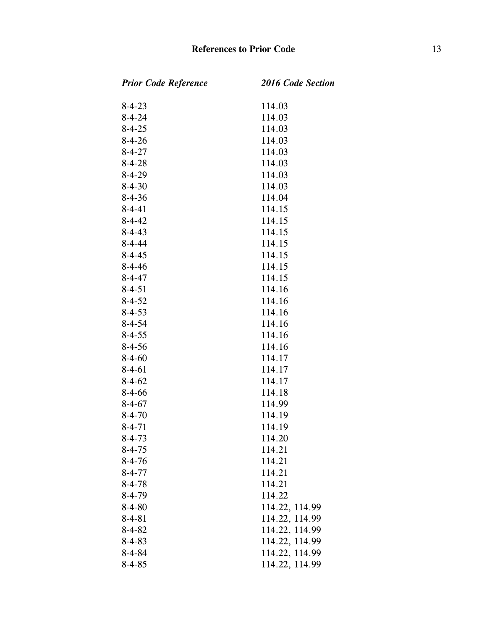| <b>Prior Code Reference</b> | <b>2016 Code Section</b> |
|-----------------------------|--------------------------|
| $8 - 4 - 23$                | 114.03                   |
| $8 - 4 - 24$                | 114.03                   |
| $8 - 4 - 25$                | 114.03                   |
| $8-4-26$                    | 114.03                   |
| $8 - 4 - 27$                | 114.03                   |
| $8 - 4 - 28$                | 114.03                   |
| $8-4-29$                    | 114.03                   |
| $8 - 4 - 30$                | 114.03                   |
| $8-4-36$                    | 114.04                   |
| $8 - 4 - 41$                | 114.15                   |
| $8 - 4 - 42$                | 114.15                   |
| $8-4-43$                    | 114.15                   |
| $8 - 4 - 44$                | 114.15                   |
| $8 - 4 - 45$                | 114.15                   |
| $8-4-46$                    | 114.15                   |
| $8 - 4 - 47$                | 114.15                   |
| $8 - 4 - 51$                | 114.16                   |
| $8 - 4 - 52$                | 114.16                   |
| $8 - 4 - 53$                | 114.16                   |
| $8 - 4 - 54$                | 114.16                   |
| $8 - 4 - 55$                | 114.16                   |
| $8-4-56$                    | 114.16                   |
| $8-4-60$                    | 114.17                   |
| $8-4-61$                    | 114.17                   |
| $8-4-62$                    | 114.17                   |
| $8-4-66$                    | 114.18                   |
| $8-4-67$                    | 114.99                   |
| $8 - 4 - 70$                | 114.19                   |
| $8 - 4 - 71$                | 114.19                   |
| $8 - 4 - 73$                | 114.20                   |
| $8 - 4 - 75$                | 114.21                   |
| $8-4-76$                    | 114.21                   |
| $8 - 4 - 77$                | 114.21                   |
| $8 - 4 - 78$                | 114.21                   |
| $8-4-79$                    | 114.22                   |
| $8 - 4 - 80$                | 114.22, 114.99           |
| $8 - 4 - 81$                | 114.22, 114.99           |
| $8 - 4 - 82$                | 114.22, 114.99           |
| $8 - 4 - 83$                | 114.22, 114.99           |
| $8 - 4 - 84$                | 114.22, 114.99           |
| $8 - 4 - 85$                | 114.22, 114.99           |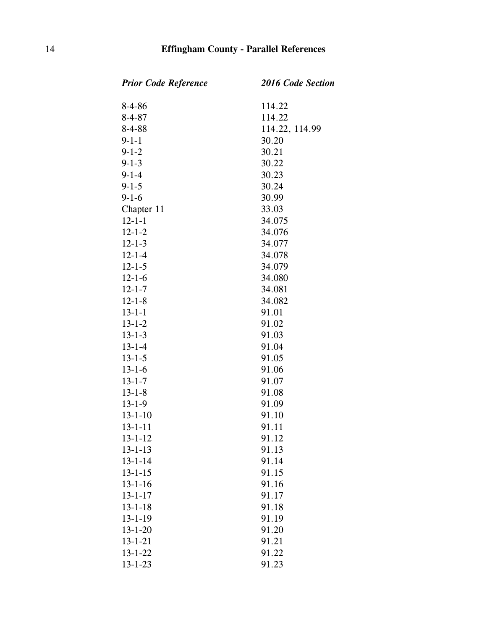| <b>Prior Code Reference</b> | <b>2016 Code Section</b> |
|-----------------------------|--------------------------|
| $8-4-86$                    | 114.22                   |
| $8 - 4 - 87$                | 114.22                   |
| $8 - 4 - 88$                | 114.22, 114.99           |
| $9 - 1 - 1$                 | 30.20                    |
| $9 - 1 - 2$                 | 30.21                    |
| $9 - 1 - 3$                 | 30.22                    |
| $9 - 1 - 4$                 | 30.23                    |
| $9 - 1 - 5$                 | 30.24                    |
| $9 - 1 - 6$                 | 30.99                    |
| Chapter 11                  | 33.03                    |
| $12 - 1 - 1$                | 34.075                   |
| $12 - 1 - 2$                | 34.076                   |
| $12 - 1 - 3$                | 34.077                   |
| $12 - 1 - 4$                | 34.078                   |
| $12 - 1 - 5$                | 34.079                   |
| $12 - 1 - 6$                | 34.080                   |
| $12 - 1 - 7$                | 34.081                   |
| $12 - 1 - 8$                | 34.082                   |
| $13 - 1 - 1$                | 91.01                    |
| $13 - 1 - 2$                | 91.02                    |
| $13 - 1 - 3$                | 91.03                    |
| $13 - 1 - 4$                | 91.04                    |
| $13 - 1 - 5$                | 91.05                    |
| $13 - 1 - 6$                | 91.06                    |
| $13 - 1 - 7$                | 91.07                    |
| $13 - 1 - 8$                | 91.08                    |
| $13 - 1 - 9$                | 91.09                    |
| $13 - 1 - 10$               | 91.10                    |
| $13 - 1 - 11$               | 91.11                    |
| 13-1-12                     | 91.12                    |
| $13 - 1 - 13$               | 91.13                    |
| $13 - 1 - 14$               | 91.14                    |
| $13 - 1 - 15$               | 91.15                    |
| $13 - 1 - 16$               | 91.16                    |
| $13 - 1 - 17$               | 91.17                    |
| $13 - 1 - 18$               | 91.18                    |
| $13 - 1 - 19$               | 91.19                    |
| $13 - 1 - 20$               | 91.20                    |
| $13 - 1 - 21$               | 91.21                    |
| $13 - 1 - 22$               | 91.22                    |
| $13 - 1 - 23$               | 91.23                    |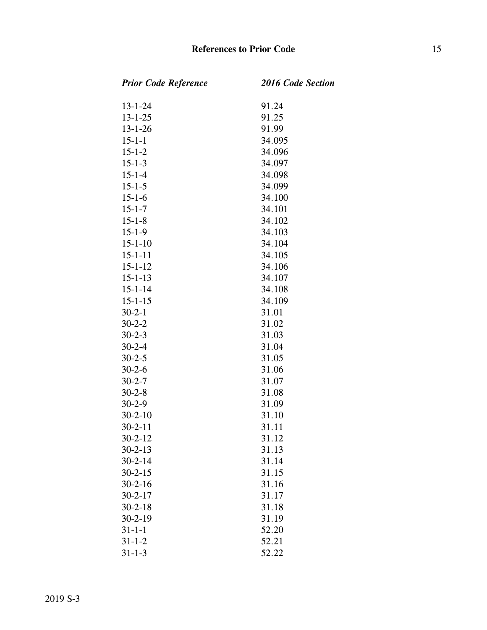| <b>Prior Code Reference</b> | <b>2016 Code Section</b> |
|-----------------------------|--------------------------|
| $13 - 1 - 24$               | 91.24                    |
| $13 - 1 - 25$               | 91.25                    |
| $13 - 1 - 26$               | 91.99                    |
| $15 - 1 - 1$                | 34.095                   |
| $15 - 1 - 2$                | 34.096                   |
| $15 - 1 - 3$                | 34.097                   |
| $15 - 1 - 4$                | 34.098                   |
| $15 - 1 - 5$                | 34.099                   |
| $15 - 1 - 6$                | 34.100                   |
| $15 - 1 - 7$                | 34.101                   |
| $15 - 1 - 8$                | 34.102                   |
| $15 - 1 - 9$                | 34.103                   |
| $15 - 1 - 10$               | 34.104                   |
| $15 - 1 - 11$               | 34.105                   |
| $15 - 1 - 12$               | 34.106                   |
| $15 - 1 - 13$               | 34.107                   |
| $15 - 1 - 14$               | 34.108                   |
| $15 - 1 - 15$               | 34.109                   |
| $30 - 2 - 1$                | 31.01                    |
| $30-2-2$                    | 31.02                    |
| $30 - 2 - 3$                | 31.03                    |
| $30 - 2 - 4$                | 31.04                    |
| $30 - 2 - 5$                | 31.05                    |
| $30 - 2 - 6$                | 31.06                    |
| $30 - 2 - 7$                | 31.07                    |
| $30 - 2 - 8$                | 31.08                    |
| $30 - 2 - 9$                | 31.09                    |
| $30 - 2 - 10$               | 31.10                    |
| $30 - 2 - 11$               | 31.11                    |
| $30 - 2 - 12$               | 31.12                    |
| $30 - 2 - 13$               | 31.13                    |
| $30 - 2 - 14$               | 31.14                    |
| $30 - 2 - 15$               | 31.15                    |
| $30 - 2 - 16$               | 31.16                    |
| $30 - 2 - 17$               | 31.17                    |
| $30 - 2 - 18$               | 31.18                    |
| $30 - 2 - 19$               | 31.19                    |
| $31 - 1 - 1$                | 52.20                    |
| $31 - 1 - 2$                | 52.21                    |
| $31 - 1 - 3$                | 52.22                    |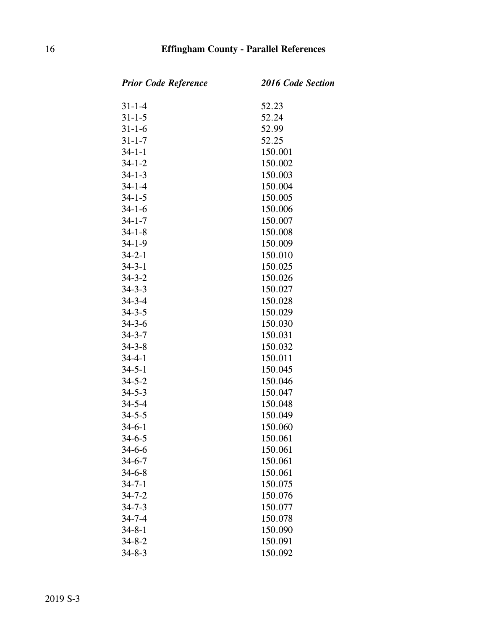| <b>Prior Code Reference</b> | <b>2016 Code Section</b> |
|-----------------------------|--------------------------|
| $31 - 1 - 4$                | 52.23                    |
| $31 - 1 - 5$                | 52.24                    |
| $31 - 1 - 6$                | 52.99                    |
| $31 - 1 - 7$                | 52.25                    |
| $34 - 1 - 1$                | 150.001                  |
| $34 - 1 - 2$                | 150.002                  |
| $34 - 1 - 3$                | 150.003                  |
| $34 - 1 - 4$                | 150.004                  |
| $34 - 1 - 5$                | 150.005                  |
| $34 - 1 - 6$                | 150.006                  |
| $34 - 1 - 7$                | 150.007                  |
| $34 - 1 - 8$                | 150.008                  |
| $34 - 1 - 9$                | 150.009                  |
| $34 - 2 - 1$                | 150.010                  |
| $34 - 3 - 1$                | 150.025                  |
| $34 - 3 - 2$                | 150.026                  |
| $34 - 3 - 3$                | 150.027                  |
| $34 - 3 - 4$                | 150.028                  |
| $34 - 3 - 5$                | 150.029                  |
| $34 - 3 - 6$                | 150.030                  |
| $34 - 3 - 7$                | 150.031                  |
| $34 - 3 - 8$                | 150.032                  |
| $34 - 4 - 1$                | 150.011                  |
| $34 - 5 - 1$                | 150.045                  |
| $34 - 5 - 2$                | 150.046                  |
| $34 - 5 - 3$                | 150.047                  |
| $34 - 5 - 4$                | 150.048                  |
| $34 - 5 - 5$                | 150.049                  |
| $34-6-1$                    | 150.060                  |
| $34 - 6 - 5$                | 150.061                  |
| $34 - 6 - 6$                | 150.061                  |
| $34 - 6 - 7$                | 150.061                  |
| $34 - 6 - 8$                | 150.061                  |
| $34 - 7 - 1$                | 150.075                  |
| $34 - 7 - 2$                | 150.076                  |
| $34 - 7 - 3$                | 150.077                  |
| $34 - 7 - 4$                | 150.078                  |
| $34 - 8 - 1$                | 150.090                  |
| $34 - 8 - 2$                | 150.091                  |
| $34 - 8 - 3$                | 150.092                  |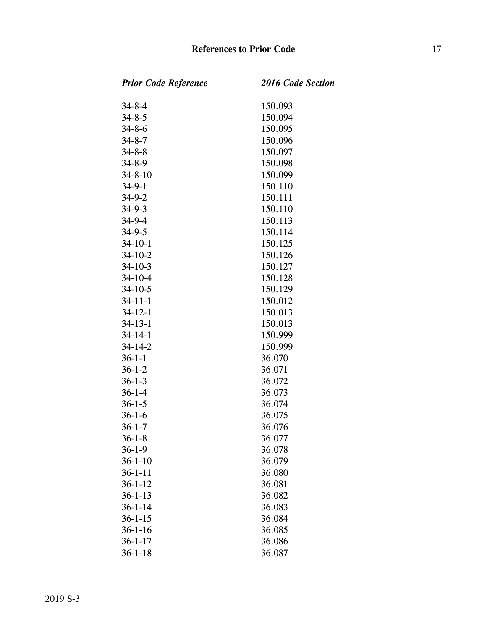| <b>Prior Code Reference</b> | <b>2016 Code Section</b> |
|-----------------------------|--------------------------|
| $34 - 8 - 4$                | 150.093                  |
| $34 - 8 - 5$                | 150.094                  |
| $34 - 8 - 6$                | 150.095                  |
| $34 - 8 - 7$                | 150.096                  |
| $34 - 8 - 8$                | 150.097                  |
| $34 - 8 - 9$                | 150.098                  |
| $34 - 8 - 10$               | 150.099                  |
| $34 - 9 - 1$                | 150.110                  |
| $34 - 9 - 2$                | 150.111                  |
| $34 - 9 - 3$                | 150.110                  |
| $34 - 9 - 4$                | 150.113                  |
| $34 - 9 - 5$                | 150.114                  |
| $34-10-1$                   | 150.125                  |
| $34 - 10 - 2$               | 150.126                  |
| $34 - 10 - 3$               | 150.127                  |
| $34 - 10 - 4$               | 150.128                  |
| $34 - 10 - 5$               | 150.129                  |
| $34 - 11 - 1$               | 150.012                  |
| $34 - 12 - 1$               | 150.013                  |
| $34 - 13 - 1$               | 150.013                  |
| $34 - 14 - 1$               | 150.999                  |
| $34 - 14 - 2$               | 150.999                  |
| $36 - 1 - 1$                | 36.070                   |
| $36 - 1 - 2$                | 36.071                   |
| $36 - 1 - 3$                | 36.072                   |
| $36 - 1 - 4$                | 36.073                   |
| $36 - 1 - 5$                | 36.074                   |
| $36 - 1 - 6$                | 36.075                   |
| $36 - 1 - 7$                | 36.076                   |
| $36 - 1 - 8$                | 36.077                   |
| $36 - 1 - 9$                | 36.078                   |
| $36 - 1 - 10$               | 36.079                   |
| $36 - 1 - 11$               | 36.080                   |
| $36 - 1 - 12$               | 36.081                   |
| $36 - 1 - 13$               | 36.082                   |
| $36 - 1 - 14$               | 36.083                   |
| $36 - 1 - 15$               | 36.084                   |
| $36 - 1 - 16$               | 36.085                   |
| $36 - 1 - 17$               | 36.086                   |
| $36 - 1 - 18$               | 36.087                   |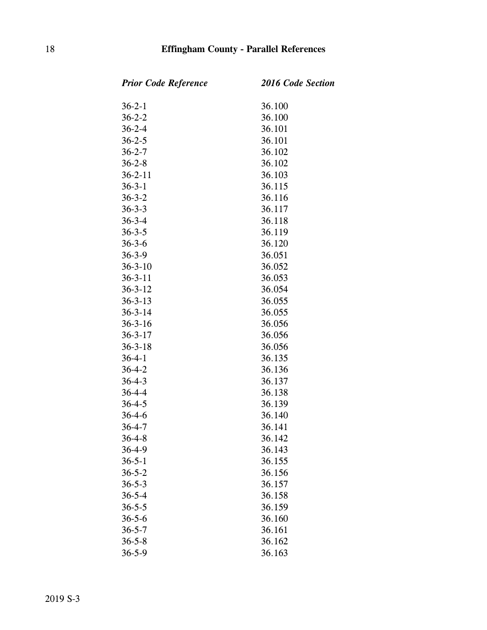| <b>Prior Code Reference</b> | 2016 Code Section |
|-----------------------------|-------------------|
| $36 - 2 - 1$                | 36.100            |
| $36 - 2 - 2$                | 36.100            |
| $36 - 2 - 4$                | 36.101            |
| $36 - 2 - 5$                | 36.101            |
| $36 - 2 - 7$                | 36.102            |
| $36 - 2 - 8$                | 36.102            |
| $36 - 2 - 11$               | 36.103            |
| $36 - 3 - 1$                | 36.115            |
| $36 - 3 - 2$                | 36.116            |
| $36 - 3 - 3$                | 36.117            |
| $36 - 3 - 4$                | 36.118            |
| $36 - 3 - 5$                | 36.119            |
| $36 - 3 - 6$                | 36.120            |
| $36 - 3 - 9$                | 36.051            |
| $36 - 3 - 10$               | 36.052            |
| $36 - 3 - 11$               | 36.053            |
| $36 - 3 - 12$               | 36.054            |
| $36 - 3 - 13$               | 36.055            |
| $36 - 3 - 14$               | 36.055            |
| $36 - 3 - 16$               | 36.056            |
| $36 - 3 - 17$               | 36.056            |
| $36 - 3 - 18$               | 36.056            |
| $36 - 4 - 1$                | 36.135            |
| $36 - 4 - 2$                | 36.136            |
| $36 - 4 - 3$                | 36.137            |
| $36 - 4 - 4$                | 36.138            |
| $36 - 4 - 5$                | 36.139            |
| $36 - 4 - 6$                | 36.140            |
| $36 - 4 - 7$                | 36.141            |
| $36 - 4 - 8$                | 36.142            |
| $36 - 4 - 9$                | 36.143            |
| $36 - 5 - 1$                | 36.155            |
| $36 - 5 - 2$                | 36.156            |
| $36 - 5 - 3$                | 36.157            |
| $36 - 5 - 4$                | 36.158            |
| $36 - 5 - 5$                | 36.159            |
| $36 - 5 - 6$                | 36.160            |
| $36 - 5 - 7$                | 36.161            |
| $36 - 5 - 8$                | 36.162            |
| $36 - 5 - 9$                | 36.163            |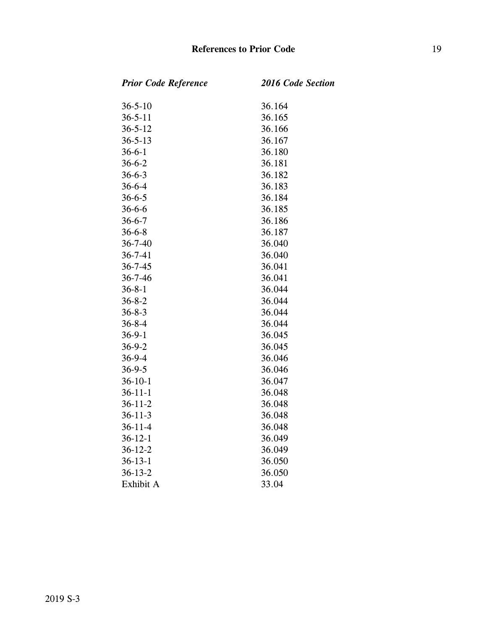$Section$ 

| <b>Prior Code Reference</b> | <b>2016 Code</b> |
|-----------------------------|------------------|
| $36 - 5 - 10$               | 36.164           |
| $36 - 5 - 11$               | 36.165           |
| $36 - 5 - 12$               | 36.166           |
| $36 - 5 - 13$               | 36.167           |
| $36 - 6 - 1$                | 36.180           |
| $36 - 6 - 2$                | 36.181           |
| $36 - 6 - 3$                | 36.182           |
| $36 - 6 - 4$                | 36.183           |
| $36 - 6 - 5$                | 36.184           |
| $36 - 6 - 6$                | 36.185           |
| $36 - 6 - 7$                | 36.186           |
| $36 - 6 - 8$                | 36.187           |
| $36 - 7 - 40$               | 36.040           |
| $36 - 7 - 41$               | 36.040           |
| $36 - 7 - 45$               | 36.041           |
| $36 - 7 - 46$               | 36.041           |
| $36 - 8 - 1$                | 36.044           |
| $36 - 8 - 2$                | 36.044           |
| $36 - 8 - 3$                | 36.044           |
| $36 - 8 - 4$                | 36.044           |
| $36-9-1$                    | 36.045           |
| $36 - 9 - 2$                | 36.045           |
| $36 - 9 - 4$                | 36.046           |
| $36 - 9 - 5$                | 36.046           |
| $36 - 10 - 1$               | 36.047           |
| $36 - 11 - 1$               | 36.048           |
| $36 - 11 - 2$               | 36.048           |
| $36 - 11 - 3$               | 36.048           |
| $36 - 11 - 4$               | 36.048           |
| $36 - 12 - 1$               | 36.049           |
| $36 - 12 - 2$               | 36.049           |
| $36 - 13 - 1$               | 36.050           |
| $36 - 13 - 2$               | 36.050           |
| Exhibit A                   | 33.04            |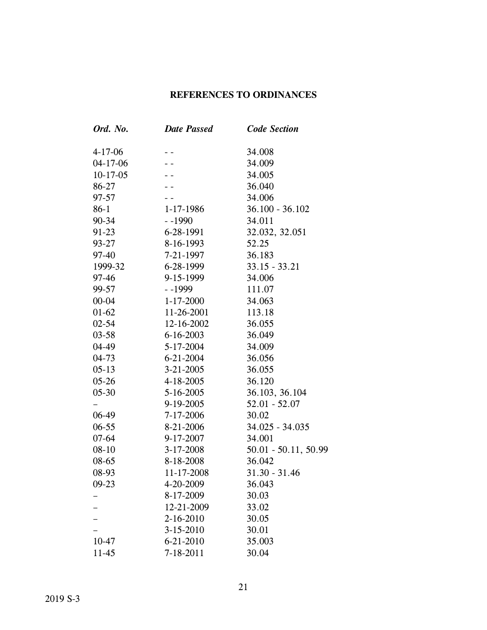### **REFERENCES TO ORDINANCES**

| Ord. No.      | <b>Date Passed</b>           | <b>Code Section</b>  |  |
|---------------|------------------------------|----------------------|--|
| $4 - 17 - 06$ |                              | 34.008               |  |
| $04-17-06$    |                              | 34.009               |  |
| $10-17-05$    |                              | 34.005               |  |
| 86-27         |                              | 36.040               |  |
| $97 - 57$     |                              | 34.006               |  |
| $86-1$        | $1 - 17 - 1986$              | $36.100 - 36.102$    |  |
| $90 - 34$     | $-1990$<br>34.011            |                      |  |
| $91-23$       | 6-28-1991<br>32.032, 32.051  |                      |  |
| $93 - 27$     | 8-16-1993<br>52.25           |                      |  |
| 97-40         | 7-21-1997<br>36.183          |                      |  |
| 1999-32       | $33.15 - 33.21$<br>6-28-1999 |                      |  |
| $97 - 46$     | 9-15-1999<br>34.006          |                      |  |
| 99-57         | $-1999$<br>111.07            |                      |  |
| $00 - 04$     | $1 - 17 - 2000$              | 34.063               |  |
| $01 - 62$     | 11-26-2001                   | 113.18               |  |
| $02 - 54$     | 12-16-2002                   | 36.055               |  |
| $03 - 58$     | $6 - 16 - 2003$              | 36.049               |  |
| 04-49         | 5-17-2004                    | 34.009               |  |
| $04 - 73$     | $6 - 21 - 2004$              | 36.056               |  |
| $05-13$       | $3 - 21 - 2005$              | 36.055               |  |
| $05 - 26$     | 4-18-2005                    | 36.120               |  |
| $05 - 30$     | $5 - 16 - 2005$              | 36.103, 36.104       |  |
|               | $9-19-2005$                  | $52.01 - 52.07$      |  |
| $06-49$       | $7-17-2006$                  | 30.02                |  |
| $06 - 55$     | 8-21-2006                    | 34.025 - 34.035      |  |
| $07 - 64$     | 9-17-2007                    | 34.001               |  |
| $08 - 10$     | $3 - 17 - 2008$              | 50.01 - 50.11, 50.99 |  |
| 08-65         | 8-18-2008                    | 36.042               |  |
| 08-93         | 11-17-2008                   | $31.30 - 31.46$      |  |
| $09-23$       | 4-20-2009                    | 36.043               |  |
|               | 8-17-2009                    | 30.03                |  |
|               | 12-21-2009                   | 33.02                |  |
|               | 2-16-2010                    | 30.05                |  |
|               | 3-15-2010                    | 30.01                |  |
| $10 - 47$     | 35.003<br>6-21-2010          |                      |  |
| $11 - 45$     | 7-18-2011                    | 30.04                |  |